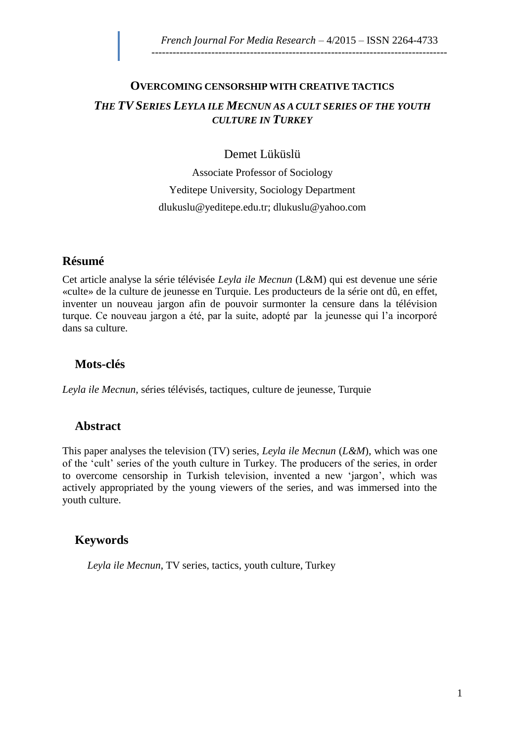# **OVERCOMING CENSORSHIP WITH CREATIVE TACTICS** *THE TVSERIES LEYLA ILE MECNUN AS A CULT SERIES OF THE YOUTH CULTURE IN TURKEY*

### Demet Lüküslü

Associate Professor of Sociology Yeditepe University, Sociology Department [dlukuslu@yeditepe.edu.tr;](mailto:dlukuslu@yeditepe.edu.tr) [dlukuslu@yahoo.com](mailto:dlukuslu@yahoo.com)

### **Résumé**

Cet article analyse la série télévisée *Leyla ile Mecnun* (L&M) qui est devenue une série «culte» de la culture de jeunesse en Turquie. Les producteurs de la série ont dû, en effet, inventer un nouveau jargon afin de pouvoir surmonter la censure dans la télévision turque. Ce nouveau jargon a été, par la suite, adopté par la jeunesse qui l'a incorporé dans sa culture.

## **Mots-clés**

*Leyla ile Mecnun*, séries télévisés, tactiques, culture de jeunesse, Turquie

## **Abstract**

This paper analyses the television (TV) series, *Leyla ile Mecnun* (*L&M*), which was one of the 'cult' series of the youth culture in Turkey. The producers of the series, in order to overcome censorship in Turkish television, invented a new 'jargon', which was actively appropriated by the young viewers of the series, and was immersed into the youth culture.

## **Keywords**

*Leyla ile Mecnun*, TV series, tactics, youth culture, Turkey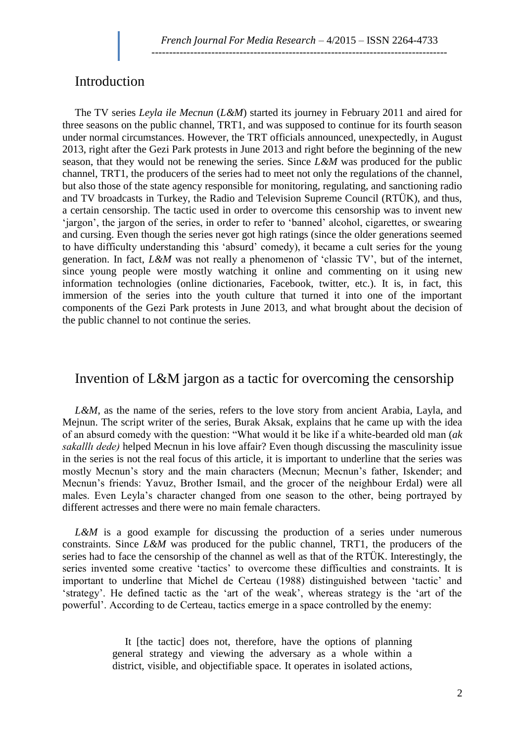#### Introduction

The TV series *Leyla ile Mecnun* (*L&M*) started its journey in February 2011 and aired for three seasons on the public channel, TRT1, and was supposed to continue for its fourth season under normal circumstances. However, the TRT officials announced, unexpectedly, in August 2013, right after the Gezi Park protests in June 2013 and right before the beginning of the new season, that they would not be renewing the series. Since *L&M* was produced for the public channel, TRT1, the producers of the series had to meet not only the regulations of the channel, but also those of the state agency responsible for monitoring, regulating, and sanctioning radio and TV broadcasts in Turkey, the Radio and Television Supreme Council (RTÜK), and thus, a certain censorship. The tactic used in order to overcome this censorship was to invent new 'jargon', the jargon of the series, in order to refer to 'banned' alcohol, cigarettes, or swearing and cursing. Even though the series never got high ratings (since the older generations seemed to have difficulty understanding this 'absurd' comedy), it became a cult series for the young generation. In fact, *L&M* was not really a phenomenon of 'classic TV', but of the internet, since young people were mostly watching it online and commenting on it using new information technologies (online dictionaries, Facebook, twitter, etc.). It is, in fact, this immersion of the series into the youth culture that turned it into one of the important components of the Gezi Park protests in June 2013, and what brought about the decision of the public channel to not continue the series.

## Invention of L&M jargon as a tactic for overcoming the censorship

*L&M*, as the name of the series, refers to the love story from ancient Arabia, Layla, and Mejnun. The script writer of the series, Burak Aksak, explains that he came up with the idea of an absurd comedy with the question: "What would it be like if a white-bearded old man (*ak sakalllı dede)* helped Mecnun in his love affair? Even though discussing the masculinity issue in the series is not the real focus of this article, it is important to underline that the series was mostly Mecnun's story and the main characters (Mecnun; Mecnun's father, Iskender; and Mecnun's friends: Yavuz, Brother Ismail, and the grocer of the neighbour Erdal) were all males. Even Leyla's character changed from one season to the other, being portrayed by different actresses and there were no main female characters.

*L&M* is a good example for discussing the production of a series under numerous constraints. Since *L&M* was produced for the public channel, TRT1, the producers of the series had to face the censorship of the channel as well as that of the RTÜK. Interestingly, the series invented some creative 'tactics' to overcome these difficulties and constraints. It is important to underline that Michel de Certeau (1988) distinguished between 'tactic' and 'strategy'. He defined tactic as the 'art of the weak', whereas strategy is the 'art of the powerful'. According to de Certeau, tactics emerge in a space controlled by the enemy:

> It [the tactic] does not, therefore, have the options of planning general strategy and viewing the adversary as a whole within a district, visible, and objectifiable space. It operates in isolated actions,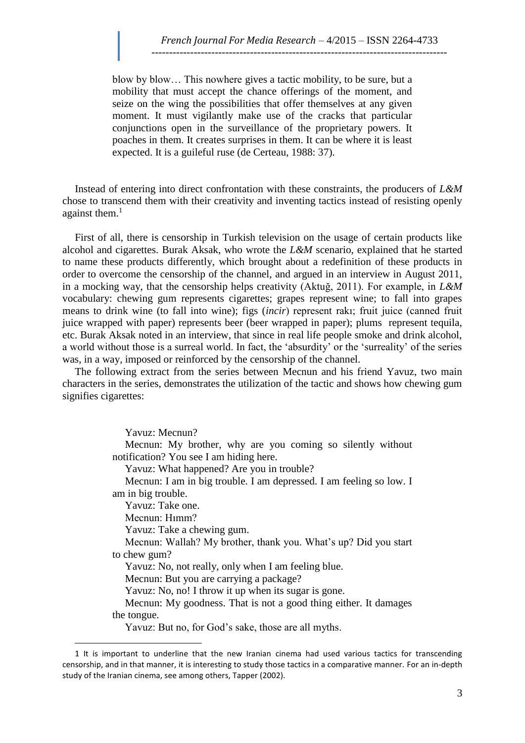blow by blow… This nowhere gives a tactic mobility, to be sure, but a mobility that must accept the chance offerings of the moment, and seize on the wing the possibilities that offer themselves at any given moment. It must vigilantly make use of the cracks that particular conjunctions open in the surveillance of the proprietary powers. It poaches in them. It creates surprises in them. It can be where it is least expected. It is a guileful ruse (de Certeau, 1988: 37).

Instead of entering into direct confrontation with these constraints, the producers of *L&M*  chose to transcend them with their creativity and inventing tactics instead of resisting openly against them. $<sup>1</sup>$ </sup>

First of all, there is censorship in Turkish television on the usage of certain products like alcohol and cigarettes. Burak Aksak, who wrote the *L&M* scenario, explained that he started to name these products differently, which brought about a redefinition of these products in order to overcome the censorship of the channel, and argued in an interview in August 2011, in a mocking way, that the censorship helps creativity (Aktuğ, 2011). For example, in *L&M* vocabulary: chewing gum represents cigarettes; grapes represent wine; to fall into grapes means to drink wine (to fall into wine); figs (*incir*) represent rakı; fruit juice (canned fruit juice wrapped with paper) represents beer (beer wrapped in paper); plums represent tequila, etc. Burak Aksak noted in an interview, that since in real life people smoke and drink alcohol, a world without those is a surreal world. In fact, the 'absurdity' or the 'surreality' of the series was, in a way, imposed or reinforced by the censorship of the channel.

The following extract from the series between Mecnun and his friend Yavuz, two main characters in the series, demonstrates the utilization of the tactic and shows how chewing gum signifies cigarettes:

Yavuz: Mecnun?

Mecnun: My brother, why are you coming so silently without notification? You see I am hiding here.

Yavuz: What happened? Are you in trouble?

Mecnun: I am in big trouble. I am depressed. I am feeling so low. I am in big trouble.

Yavuz: Take one.

Mecnun: Hımm?

 $\overline{a}$ 

Yavuz: Take a chewing gum.

Mecnun: Wallah? My brother, thank you. What's up? Did you start to chew gum?

Yavuz: No, not really, only when I am feeling blue.

Mecnun: But you are carrying a package?

Yavuz: No, no! I throw it up when its sugar is gone.

Mecnun: My goodness. That is not a good thing either. It damages the tongue.

Yavuz: But no, for God's sake, those are all myths.

<sup>1</sup> It is important to underline that the new Iranian cinema had used various tactics for transcending censorship, and in that manner, it is interesting to study those tactics in a comparative manner. For an in-depth study of the Iranian cinema, see among others, Tapper (2002).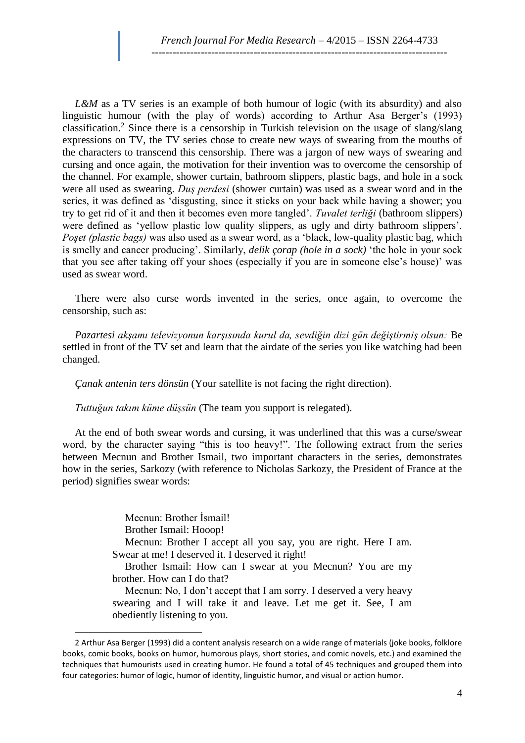*L&M* as a TV series is an example of both humour of logic (with its absurdity) and also linguistic humour (with the play of words) according to Arthur Asa Berger's (1993) classification.<sup>2</sup> Since there is a censorship in Turkish television on the usage of slang/slang expressions on TV, the TV series chose to create new ways of swearing from the mouths of the characters to transcend this censorship. There was a jargon of new ways of swearing and cursing and once again, the motivation for their invention was to overcome the censorship of the channel. For example, shower curtain, bathroom slippers, plastic bags, and hole in a sock were all used as swearing. *Duş perdesi* (shower curtain) was used as a swear word and in the series, it was defined as 'disgusting, since it sticks on your back while having a shower; you try to get rid of it and then it becomes even more tangled'. *Tuvalet terliği* (bathroom slippers) were defined as 'yellow plastic low quality slippers, as ugly and dirty bathroom slippers'. *Poşet (plastic bags)* was also used as a swear word, as a 'black, low-quality plastic bag, which is smelly and cancer producing'. Similarly, *delik çorap (hole in a sock)* 'the hole in your sock that you see after taking off your shoes (especially if you are in someone else's house)' was used as swear word.

There were also curse words invented in the series, once again, to overcome the censorship, such as:

*Pazartesi akşamı televizyonun karşısında kurul da, sevdiğin dizi gün değiştirmiş olsun:* Be settled in front of the TV set and learn that the airdate of the series you like watching had been changed.

*Çanak antenin ters dönsün* (Your satellite is not facing the right direction).

*Tuttuğun takım küme düşsün* (The team you support is relegated).

At the end of both swear words and cursing, it was underlined that this was a curse/swear word, by the character saying "this is too heavy!". The following extract from the series between Mecnun and Brother Ismail, two important characters in the series, demonstrates how in the series, Sarkozy (with reference to Nicholas Sarkozy, the President of France at the period) signifies swear words:

> Mecnun: Brother İsmail! Brother Ismail: Hooop!

 $\overline{a}$ 

Mecnun: Brother I accept all you say, you are right. Here I am. Swear at me! I deserved it. I deserved it right!

Brother Ismail: How can I swear at you Mecnun? You are my brother. How can I do that?

Mecnun: No, I don't accept that I am sorry. I deserved a very heavy swearing and I will take it and leave. Let me get it. See, I am obediently listening to you.

<sup>2</sup> Arthur Asa Berger (1993) did a content analysis research on a wide range of materials (joke books, folklore books, comic books, books on humor, humorous plays, short stories, and comic novels, etc.) and examined the techniques that humourists used in creating humor. He found a total of 45 techniques and grouped them into four categories: humor of logic, humor of identity, linguistic humor, and visual or action humor.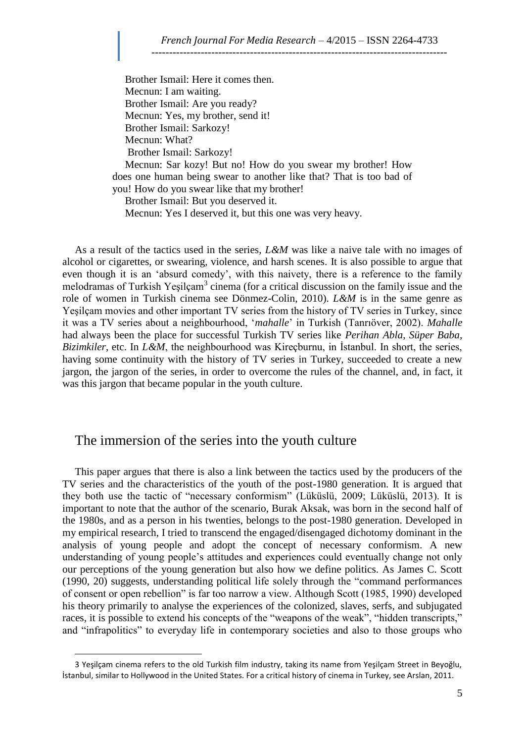Brother Ismail: Here it comes then. Mecnun: I am waiting. Brother Ismail: Are you ready? Mecnun: Yes, my brother, send it! Brother Ismail: Sarkozy! Mecnun: What? Brother Ismail: Sarkozy!

Mecnun: Sar kozy! But no! How do you swear my brother! How does one human being swear to another like that? That is too bad of you! How do you swear like that my brother!

Brother Ismail: But you deserved it.

Mecnun: Yes I deserved it, but this one was very heavy.

As a result of the tactics used in the series, *L&M* was like a naive tale with no images of alcohol or cigarettes, or swearing, violence, and harsh scenes. It is also possible to argue that even though it is an 'absurd comedy', with this naivety, there is a reference to the family melodramas of Turkish Yeşilçam<sup>3</sup> cinema (for a critical discussion on the family issue and the role of women in Turkish cinema see Dönmez-Colin, 2010). *L&M* is in the same genre as Yeşilçam movies and other important TV series from the history of TV series in Turkey, since it was a TV series about a neighbourhood, '*mahalle*' in Turkish (Tanrıöver, 2002). *Mahalle* had always been the place for successful Turkish TV series like *Perihan Abla*, *Süper Baba*, *Bizimkiler*, etc. In *L&M*, the neighbourhood was Kireçburnu, in İstanbul. In short, the series, having some continuity with the history of TV series in Turkey, succeeded to create a new jargon, the jargon of the series, in order to overcome the rules of the channel, and, in fact, it was this jargon that became popular in the youth culture.

#### The immersion of the series into the youth culture

 $\overline{a}$ 

This paper argues that there is also a link between the tactics used by the producers of the TV series and the characteristics of the youth of the post-1980 generation. It is argued that they both use the tactic of "necessary conformism" (Lüküslü, 2009; Lüküslü, 2013). It is important to note that the author of the scenario, Burak Aksak, was born in the second half of the 1980s, and as a person in his twenties, belongs to the post-1980 generation. Developed in my empirical research, I tried to transcend the engaged/disengaged dichotomy dominant in the analysis of young people and adopt the concept of necessary conformism. A new understanding of young people's attitudes and experiences could eventually change not only our perceptions of the young generation but also how we define politics. As James C. Scott (1990, 20) suggests, understanding political life solely through the "command performances of consent or open rebellion" is far too narrow a view. Although Scott (1985, 1990) developed his theory primarily to analyse the experiences of the colonized, slaves, serfs, and subjugated races, it is possible to extend his concepts of the "weapons of the weak", "hidden transcripts," and "infrapolitics" to everyday life in contemporary societies and also to those groups who

<sup>3</sup> Yeşilçam cinema refers to the old Turkish film industry, taking its name from Yeşilçam Street in Beyoğlu, İstanbul, similar to Hollywood in the United States. For a critical history of cinema in Turkey, see Arslan, 2011.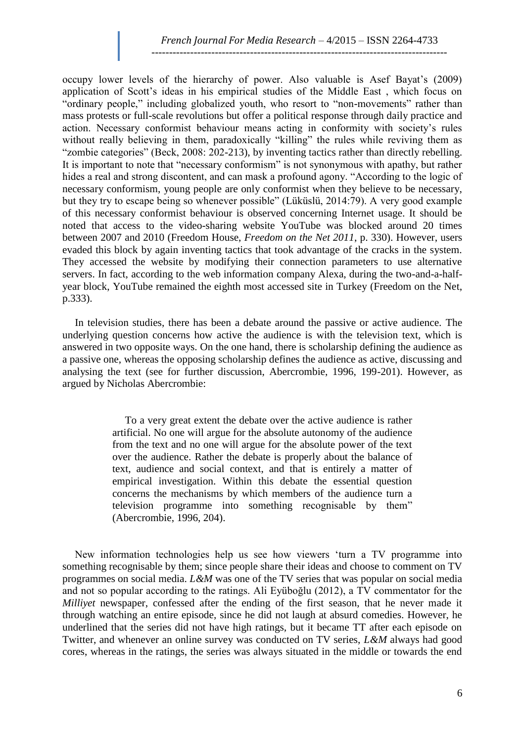occupy lower levels of the hierarchy of power. Also valuable is Asef Bayat's (2009) application of Scott's ideas in his empirical studies of the Middle East , which focus on "ordinary people," including globalized youth, who resort to "non-movements" rather than mass protests or full-scale revolutions but offer a political response through daily practice and action. Necessary conformist behaviour means acting in conformity with society's rules without really believing in them, paradoxically "killing" the rules while reviving them as "zombie categories" (Beck, 2008: 202-213), by inventing tactics rather than directly rebelling. It is important to note that "necessary conformism" is not synonymous with apathy, but rather hides a real and strong discontent, and can mask a profound agony. "According to the logic of necessary conformism, young people are only conformist when they believe to be necessary, but they try to escape being so whenever possible" (Lüküslü, 2014:79). A very good example of this necessary conformist behaviour is observed concerning Internet usage. It should be noted that access to the video-sharing website YouTube was blocked around 20 times between 2007 and 2010 (Freedom House, *Freedom on the Net 2011*, p. 330). However, users evaded this block by again inventing tactics that took advantage of the cracks in the system. They accessed the website by modifying their connection parameters to use alternative servers. In fact, according to the web information company Alexa, during the two-and-a-halfyear block, YouTube remained the eighth most accessed site in Turkey (Freedom on the Net, p.333).

In television studies, there has been a debate around the passive or active audience. The underlying question concerns how active the audience is with the television text, which is answered in two opposite ways. On the one hand, there is scholarship defining the audience as a passive one, whereas the opposing scholarship defines the audience as active, discussing and analysing the text (see for further discussion, Abercrombie, 1996, 199-201). However, as argued by Nicholas Abercrombie:

> To a very great extent the debate over the active audience is rather artificial. No one will argue for the absolute autonomy of the audience from the text and no one will argue for the absolute power of the text over the audience. Rather the debate is properly about the balance of text, audience and social context, and that is entirely a matter of empirical investigation. Within this debate the essential question concerns the mechanisms by which members of the audience turn a television programme into something recognisable by them" (Abercrombie, 1996, 204).

New information technologies help us see how viewers 'turn a TV programme into something recognisable by them; since people share their ideas and choose to comment on TV programmes on social media. *L&M* was one of the TV series that was popular on social media and not so popular according to the ratings. Ali Eyüboğlu (2012), a TV commentator for the *Milliyet* newspaper, confessed after the ending of the first season, that he never made it through watching an entire episode, since he did not laugh at absurd comedies. However, he underlined that the series did not have high ratings, but it became TT after each episode on Twitter, and whenever an online survey was conducted on TV series, *L&M* always had good cores, whereas in the ratings, the series was always situated in the middle or towards the end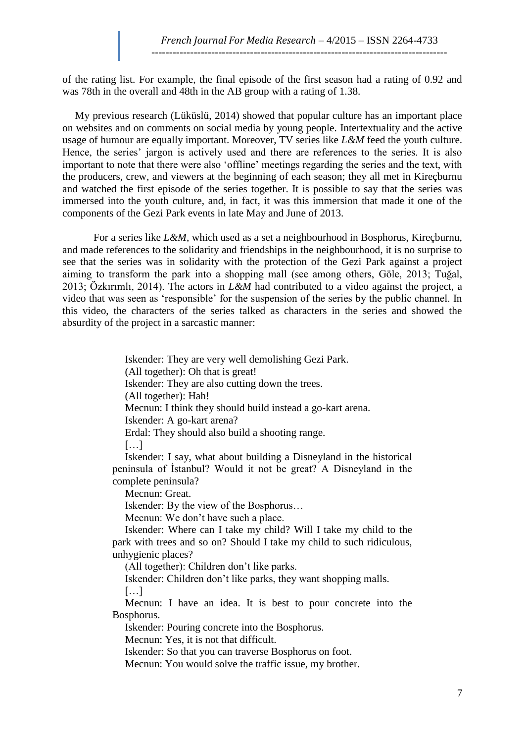of the rating list. For example, the final episode of the first season had a rating of 0.92 and was 78th in the overall and 48th in the AB group with a rating of 1.38.

My previous research (Lüküslü, 2014) showed that popular culture has an important place on websites and on comments on social media by young people. Intertextuality and the active usage of humour are equally important. Moreover, TV series like *L&M* feed the youth culture. Hence, the series' jargon is actively used and there are references to the series. It is also important to note that there were also 'offline' meetings regarding the series and the text, with the producers, crew, and viewers at the beginning of each season; they all met in Kireçburnu and watched the first episode of the series together. It is possible to say that the series was immersed into the youth culture, and, in fact, it was this immersion that made it one of the components of the Gezi Park events in late May and June of 2013.

For a series like *L&M*, which used as a set a neighbourhood in Bosphorus, Kireçburnu, and made references to the solidarity and friendships in the neighbourhood, it is no surprise to see that the series was in solidarity with the protection of the Gezi Park against a project aiming to transform the park into a shopping mall (see among others, Göle, 2013; Tuğal, 2013; Özkırımlı, 2014). The actors in *L&M* had contributed to a video against the project, a video that was seen as 'responsible' for the suspension of the series by the public channel. In this video, the characters of the series talked as characters in the series and showed the absurdity of the project in a sarcastic manner:

> Iskender: They are very well demolishing Gezi Park. (All together): Oh that is great! Iskender: They are also cutting down the trees. (All together): Hah! Mecnun: I think they should build instead a go-kart arena. Iskender: A go-kart arena? Erdal: They should also build a shooting range.  $[...]$

Iskender: I say, what about building a Disneyland in the historical peninsula of İstanbul? Would it not be great? A Disneyland in the complete peninsula?

Mecnun: Great.

Iskender: By the view of the Bosphorus…

Mecnun: We don't have such a place.

Iskender: Where can I take my child? Will I take my child to the park with trees and so on? Should I take my child to such ridiculous, unhygienic places?

(All together): Children don't like parks.

Iskender: Children don't like parks, they want shopping malls.

[…]

Mecnun: I have an idea. It is best to pour concrete into the Bosphorus.

Iskender: Pouring concrete into the Bosphorus.

Mecnun: Yes, it is not that difficult.

Iskender: So that you can traverse Bosphorus on foot.

Mecnun: You would solve the traffic issue, my brother.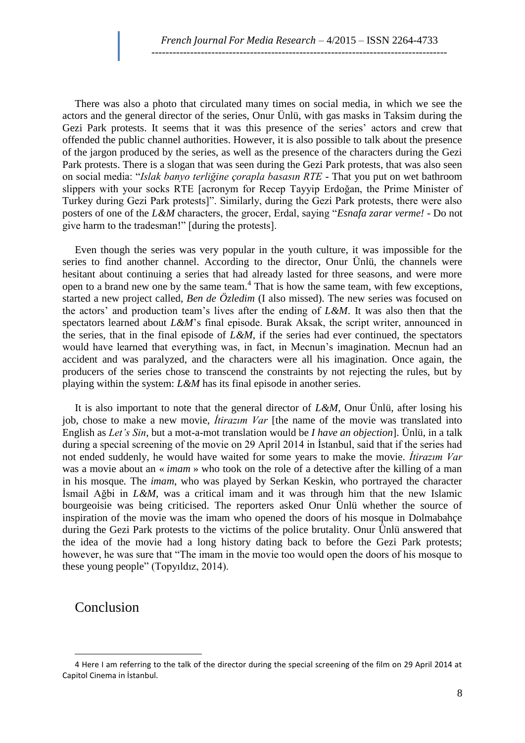There was also a photo that circulated many times on social media, in which we see the actors and the general director of the series, Onur Ünlü, with gas masks in Taksim during the Gezi Park protests. It seems that it was this presence of the series' actors and crew that offended the public channel authorities. However, it is also possible to talk about the presence of the jargon produced by the series, as well as the presence of the characters during the Gezi Park protests. There is a slogan that was seen during the Gezi Park protests, that was also seen on social media: "*Islak banyo terliğine çorapla basasın RTE* - That you put on wet bathroom slippers with your socks RTE [acronym for Recep Tayyip Erdoğan, the Prime Minister of Turkey during Gezi Park protests]". Similarly, during the Gezi Park protests, there were also posters of one of the *L&M* characters, the grocer, Erdal, saying "*Esnafa zarar verme! -* Do not give harm to the tradesman!" [during the protests].

Even though the series was very popular in the youth culture, it was impossible for the series to find another channel. According to the director, Onur Ünlü, the channels were hesitant about continuing a series that had already lasted for three seasons, and were more open to a brand new one by the same team.<sup>4</sup> That is how the same team, with few exceptions, started a new project called, *Ben de Özledim* (I also missed). The new series was focused on the actors' and production team's lives after the ending of *L&M*. It was also then that the spectators learned about *L&M*'s final episode. Burak Aksak, the script writer, announced in the series, that in the final episode of *L&M*, if the series had ever continued, the spectators would have learned that everything was, in fact, in Mecnun's imagination. Mecnun had an accident and was paralyzed, and the characters were all his imagination. Once again, the producers of the series chose to transcend the constraints by not rejecting the rules, but by playing within the system: *L&M* has its final episode in another series.

It is also important to note that the general director of *L&M*, Onur Ünlü, after losing his job, chose to make a new movie, *İtirazım Var* [the name of the movie was translated into English as *Let's Sin*, but a mot-a-mot translation would be *I have an objection*]. Ünlü, in a talk during a special screening of the movie on 29 April 2014 in İstanbul, said that if the series had not ended suddenly, he would have waited for some years to make the movie. *İtirazım Var* was a movie about an « *imam* » who took on the role of a detective after the killing of a man in his mosque*.* The *imam*, who was played by Serkan Keskin, who portrayed the character İsmail Ağbi in *L&M*, was a critical imam and it was through him that the new Islamic bourgeoisie was being criticised. The reporters asked Onur Ünlü whether the source of inspiration of the movie was the imam who opened the doors of his mosque in Dolmabahçe during the Gezi Park protests to the victims of the police brutality. Onur Ünlü answered that the idea of the movie had a long history dating back to before the Gezi Park protests; however, he was sure that "The imam in the movie too would open the doors of his mosque to these young people" (Topyıldız, 2014).

### Conclusion

 $\overline{a}$ 

<sup>4</sup> Here I am referring to the talk of the director during the special screening of the film on 29 April 2014 at Capitol Cinema in İstanbul.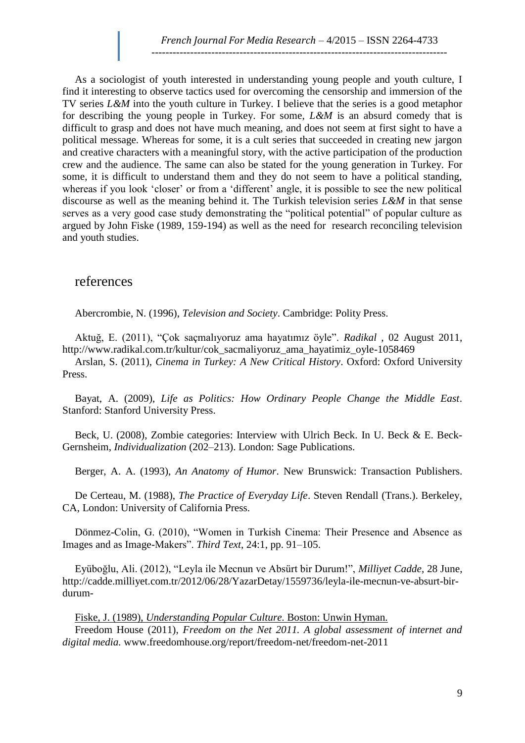As a sociologist of youth interested in understanding young people and youth culture, I find it interesting to observe tactics used for overcoming the censorship and immersion of the TV series *L&M* into the youth culture in Turkey. I believe that the series is a good metaphor for describing the young people in Turkey. For some, *L&M* is an absurd comedy that is difficult to grasp and does not have much meaning, and does not seem at first sight to have a political message. Whereas for some, it is a cult series that succeeded in creating new jargon and creative characters with a meaningful story, with the active participation of the production crew and the audience. The same can also be stated for the young generation in Turkey. For some, it is difficult to understand them and they do not seem to have a political standing, whereas if you look 'closer' or from a 'different' angle, it is possible to see the new political discourse as well as the meaning behind it. The Turkish television series *L&M* in that sense serves as a very good case study demonstrating the "political potential" of popular culture as argued by John Fiske (1989, 159-194) as well as the need for research reconciling television and youth studies.

#### references

Abercrombie, N. (1996), *Television and Society*. Cambridge: Polity Press.

Aktuğ, E. (2011), "Çok saçmalıyoruz ama hayatımız öyle". *Radikal* , 02 August 2011, [http://www.radikal.com.tr/kultur/cok\\_sacmaliyoruz\\_ama\\_hayatimiz\\_oyle-1058469](http://www.radikal.com.tr/kultur/cok_sacmaliyoruz_ama_hayatimiz_oyle-1058469)

Arslan, S. (2011), *Cinema in Turkey: A New Critical History*. Oxford: Oxford University Press.

Bayat, A. (2009), *Life as Politics: How Ordinary People Change the Middle East*. Stanford: Stanford University Press.

Beck, U. (2008), Zombie categories: Interview with Ulrich Beck. In U. Beck & E. Beck-Gernsheim, *Individualization* (202–213). London: Sage Publications.

Berger, A. A. (1993), *An Anatomy of Humor*. New Brunswick: Transaction Publishers.

De Certeau, M. (1988), *The Practice of Everyday Life*. Steven Rendall (Trans.). Berkeley, CA, London: University of California Press.

Dönmez-Colin, G. (2010), "Women in Turkish Cinema: Their Presence and Absence as Images and as Image-Makers". *Third Text*, 24:1, pp. 91–105.

Eyüboğlu, Ali. (2012), "Leyla ile Mecnun ve Absürt bir Durum!", *Milliyet Cadde*, 28 June, [http://cadde.milliyet.com.tr/2012/06/28/YazarDetay/1559736/leyla-ile-mecnun-ve-absurt-bir](http://cadde.milliyet.com.tr/2012/06/28/YazarDetay/1559736/leyla-ile-mecnun-ve-absurt-bir-durum-)[durum-](http://cadde.milliyet.com.tr/2012/06/28/YazarDetay/1559736/leyla-ile-mecnun-ve-absurt-bir-durum-)

Fiske, J. (1989), *Understanding Popular Culture.* Boston: Unwin Hyman.

Freedom House (2011), *Freedom on the Net 2011. A global assessment of internet and digital media.* [www.freedomhouse.org/report/freedom-net/freedom-net-2011](http://www.freedomhouse.org/report/freedom-net/freedom-net-2011)